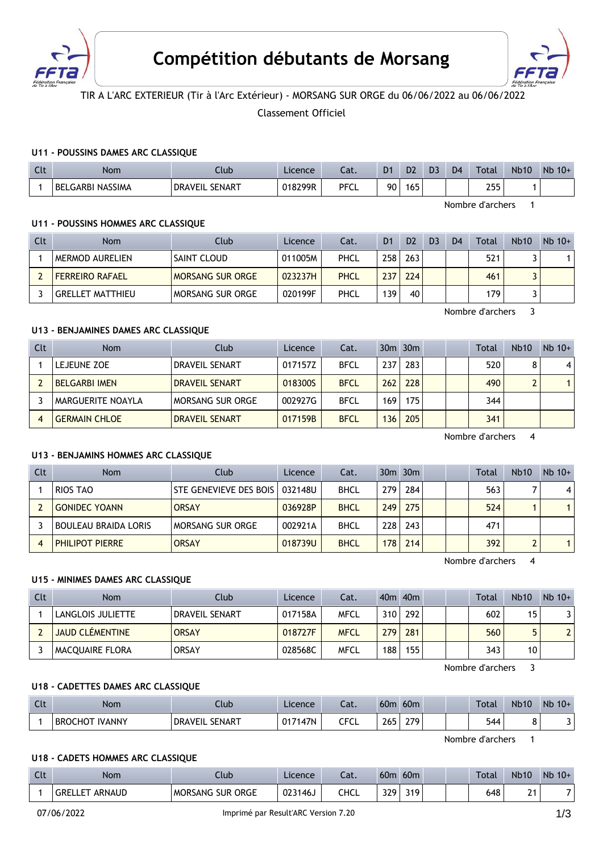



# TIR A L'ARC EXTERIEUR (Tir à l'Arc Extérieur) - MORSANG SUR ORGE du 06/06/2022 au 06/06/2022

Classement Officiel

### **U11 - POUSSINS DAMES ARC CLASSIQUE**

| $\Gamma$<br><b>UU</b> | Nom                          | Llub.                      | Licence | Lat.        | D <sub>1</sub> | D <sub>2</sub> | D <sub>3</sub> | D <sub>4</sub> | Total        | <b>Nb10</b> | Nb<br>$10+$ |
|-----------------------|------------------------------|----------------------------|---------|-------------|----------------|----------------|----------------|----------------|--------------|-------------|-------------|
|                       | LGARBI NASSIMA<br><b>BEL</b> | _ SENART<br><b>DRAVEIL</b> | 018299R | <b>PFCL</b> | 90             | 65             |                |                | つにに<br>ر ر ۱ |             |             |

Nombre d'archers 1

#### **U11 - POUSSINS HOMMES ARC CLASSIQUE**

| Clt | <b>Nom</b>             | Club                    | Licence | Cat.        | D1  | D <sub>2</sub> | D <sub>3</sub> | D <sub>4</sub> | Total | <b>Nb10</b> | $Nb$ 10+ |
|-----|------------------------|-------------------------|---------|-------------|-----|----------------|----------------|----------------|-------|-------------|----------|
|     | <b>MERMOD AURELIEN</b> | I SAINT CLOUD           | 011005M | PHCL        | 258 | 263            |                |                | 521   |             |          |
|     | <b>FERREIRO RAFAEL</b> | <b>MORSANG SUR ORGE</b> | 023237H | <b>PHCL</b> | 237 | 224            |                |                | 461   |             |          |
|     | GRELLET MATTHIEU       | MORSANG SUR ORGE        | 020199F | PHCL        | 139 | 40             |                |                | 179   |             |          |

Nombre d'archers 3

# **U13 - BENJAMINES DAMES ARC CLASSIQUE**

| Clt | <b>Nom</b>           | Club                  | Licence | Cat.        |     | $30m$ $30m$ |  | Total | <b>Nb10</b> | $Nb$ 10+ |
|-----|----------------------|-----------------------|---------|-------------|-----|-------------|--|-------|-------------|----------|
|     | LEJEUNE ZOE          | DRAVEIL SENART        | 017157Z | <b>BFCL</b> | 237 | 283         |  | 520   |             | $\vert$  |
|     | <b>BELGARBI IMEN</b> | <b>DRAVEIL SENART</b> | 0183005 | <b>BFCL</b> | 262 | 228         |  | 490   | ົ           |          |
|     | MARGUERITE NOAYLA    | MORSANG SUR ORGE      | 002927G | <b>BFCL</b> | 169 | 175         |  | 344   |             |          |
|     | <b>GERMAIN CHLOE</b> | <b>DRAVEIL SENART</b> | 017159B | <b>BFCL</b> | 136 | 205         |  | 341   |             |          |

Nombre d'archers 4

### **U13 - BENJAMINS HOMMES ARC CLASSIQUE**

| Clt | Nom                         | Club                   | Licence | Cat.        |     | $30m$ $30m$ |  | Total | <b>Nb10</b> | $Nb$ 10+       |
|-----|-----------------------------|------------------------|---------|-------------|-----|-------------|--|-------|-------------|----------------|
|     | RIOS TAO                    | STE GENEVIEVE DES BOIS | 032148U | <b>BHCL</b> | 279 | 284         |  | 563   |             | $\overline{4}$ |
|     | <b>GONIDEC YOANN</b>        | <b>ORSAY</b>           | 036928P | <b>BHCL</b> | 249 | 275         |  | 524   |             |                |
|     | <b>BOULEAU BRAIDA LORIS</b> | MORSANG SUR ORGE       | 002921A | <b>BHCL</b> | 228 | 243         |  | 471   |             |                |
|     | <b>PHILIPOT PIERRE</b>      | <b>ORSAY</b>           | 018739U | <b>BHCL</b> | 178 | 214         |  | 392   |             |                |

Nombre d'archers 4

### **U15 - MINIMES DAMES ARC CLASSIQUE**

| Clt | <b>Nom</b>             | Club           | Licence | Cat.        |     | $40m$ $40m$ |  | <b>Total</b> | <b>Nb10</b> | $Nb$ 10+       |
|-----|------------------------|----------------|---------|-------------|-----|-------------|--|--------------|-------------|----------------|
|     | LANGLOIS JULIETTE      | DRAVEIL SENART | 017158A | MFCL        | 310 | 292         |  | 602          | 15          | 31             |
|     | <b>JAUD CLÉMENTINE</b> | <b>ORSAY</b>   | 018727F | <b>MFCL</b> | 279 | 281         |  | 560          |             | $\overline{2}$ |
|     | <b>MACOUAIRE FLORA</b> | <b>ORSAY</b>   | 028568C | MFCL        | 188 | 155         |  | 343          | 10          |                |

Nombre d'archers 3

#### **U18 - CADETTES DAMES ARC CLASSIQUE**

| Clt | Nom            | Club                       | Licence | Cat. | 60 <sub>m</sub> | 60 <sub>m</sub> | Total | <b>Nb10</b> | Nb<br>$10+$ |
|-----|----------------|----------------------------|---------|------|-----------------|-----------------|-------|-------------|-------------|
|     | BROCHOT IVANNY | <b>DRAVEIL</b><br>. SENART | 017147N | CFCL | 265             | 279             | 544   |             |             |

Nombre d'archers 1

### **U18 - CADETS HOMMES ARC CLASSIQUE**

| Clt | Nom                              | Club                              | Licence | Cat. | 60 <sub>m</sub> | 60 <sub>m</sub> | Total | <b>Nb10</b> | $Nb$ 10+ |
|-----|----------------------------------|-----------------------------------|---------|------|-----------------|-----------------|-------|-------------|----------|
|     | ARNAUD<br><b>GRELLE</b><br>. LET | <b>SUR ORGE</b><br><b>MORSANG</b> | 023146J | CHCL | 329             | 319             | 648   | $\sim$<br>- |          |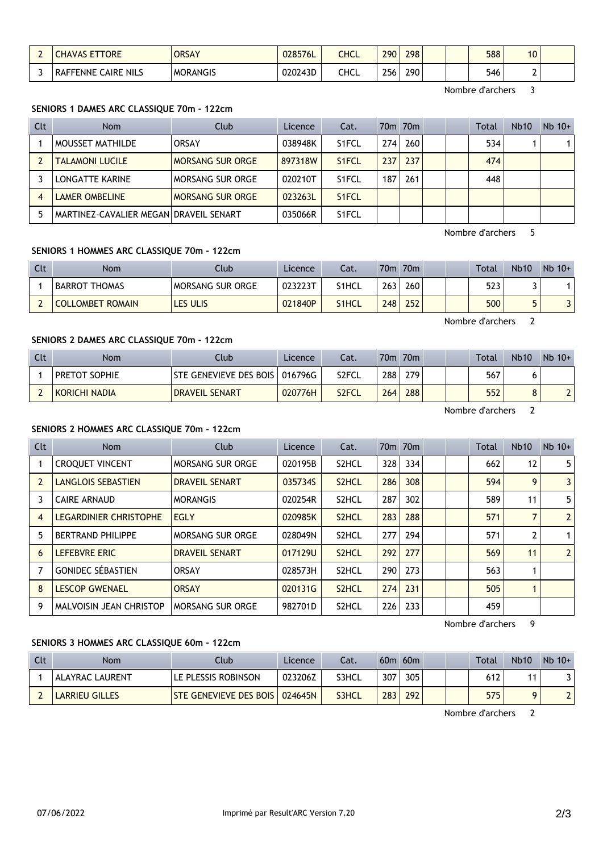| ETTORE                               | <b>ORSAY</b>    | 028576L | CHCL | 290       | 298 | 588 | $\overline{ }$<br>1V |  |
|--------------------------------------|-----------------|---------|------|-----------|-----|-----|----------------------|--|
| <b>NILS</b><br>AIRE:<br>ENNE<br>ורעו | <b>MORANGIS</b> | 020243D | CHCL | 256<br>__ | 290 | 546 | -                    |  |

Nombre d'archers 3

#### **SENIORS 1 DAMES ARC CLASSIQUE 70m - 122cm**

| Clt | <b>Nom</b>                             | Club                    | Licence | Cat.               |       | 70 <sub>m</sub> 70 <sub>m</sub> |  | Total | <b>Nb10</b> | $Nb$ 10+ |
|-----|----------------------------------------|-------------------------|---------|--------------------|-------|---------------------------------|--|-------|-------------|----------|
|     | MOUSSET MATHILDE                       | <b>ORSAY</b>            | 038948K | S <sub>1</sub> FCL | 274 I | 260                             |  | 534   |             |          |
|     | <b>TALAMONI LUCILE</b>                 | <b>MORSANG SUR ORGE</b> | 897318W | S <sub>1</sub> FCL | 237   | 237                             |  | 474   |             |          |
|     | LONGATTE KARINE                        | MORSANG SUR ORGE        | 020210T | S <sub>1</sub> FCL | 187   | 261                             |  | 448   |             |          |
|     | LAMER OMBELINE                         | <b>MORSANG SUR ORGE</b> | 023263L | S <sub>1</sub> FCL |       |                                 |  |       |             |          |
|     | MARTINEZ-CAVALIER MEGAN DRAVEIL SENART |                         | 035066R | S <sub>1</sub> FCL |       |                                 |  |       |             |          |

Nombre d'archers 5

## **SENIORS 1 HOMMES ARC CLASSIQUE 70m - 122cm**

| <b>Clt</b> | Nom                     | Club                    | Licence | Cat.               | 70 <sub>m</sub>  | 70 <sub>m</sub>  |  | Total | <b>Nb10</b> | $Nb 10+$ |
|------------|-------------------------|-------------------------|---------|--------------------|------------------|------------------|--|-------|-------------|----------|
|            | <b>BARROT THOMAS</b>    | <b>MORSANG SUR ORGE</b> | 023223T | S <sub>1</sub> HCL | 263              | 260 <sub>1</sub> |  | 523   |             |          |
|            | <b>COLLOMBET ROMAIN</b> | LES ULIS                | 021840P | <b>S1HCL</b>       | 248 <sub>1</sub> | 252              |  | 500   | г.          |          |

Nombre d'archers 2

## **SENIORS 2 DAMES ARC CLASSIQUE 70m - 122cm**

| Clt | <b>Nom</b>           | Club                   | Licence | Cat.               |     | 70m 70m |  | <b>Total</b> | <b>Nb10</b> | $Nb 10+$   |
|-----|----------------------|------------------------|---------|--------------------|-----|---------|--|--------------|-------------|------------|
|     | <b>PRETOT SOPHIE</b> | STE GENEVIEVE DES BOIS | 016796G | S <sub>2</sub> FCL | 288 | 279     |  | 567          |             |            |
|     | KORICHI NADIA        | <b>DRAVEIL SENART</b>  | 020776H | S <sub>2</sub> FCL | 264 | 288     |  | 552          |             | $\sqrt{2}$ |

Nombre d'archers 2

## **SENIORS 2 HOMMES ARC CLASSIQUE 70m - 122cm**

| Clt            | <b>Nom</b>                    | Club                    | Licence | Cat.               |     | 70 <sub>m</sub> 70 <sub>m</sub> |  | <b>Total</b> | <b>Nb10</b>       | $Nb$ 10+       |
|----------------|-------------------------------|-------------------------|---------|--------------------|-----|---------------------------------|--|--------------|-------------------|----------------|
|                | <b>CROQUET VINCENT</b>        | MORSANG SUR ORGE        | 020195B | S <sub>2</sub> HCL | 328 | 334                             |  | 662          | $12 \overline{ }$ | 5              |
| 2              | <b>LANGLOIS SEBASTIEN</b>     | <b>DRAVEIL SENART</b>   | 035734S | S <sub>2</sub> HCL | 286 | 308                             |  | 594          | 9                 | 3 <sup>1</sup> |
|                | <b>CAIRE ARNAUD</b>           | <b>MORANGIS</b>         | 020254R | S <sub>2</sub> HCL | 287 | 302                             |  | 589          | 11                | 5 <sup>1</sup> |
| $\overline{4}$ | <b>LEGARDINIER CHRISTOPHE</b> | <b>EGLY</b>             | 020985K | S <sub>2</sub> HCL | 283 | 288                             |  | 571          |                   | 2 <sup>1</sup> |
| 5              | <b>BERTRAND PHILIPPE</b>      | MORSANG SUR ORGE        | 028049N | S <sub>2</sub> HCL | 277 | 294                             |  | 571          | 2                 | 1 <sup>1</sup> |
| 6              | LEFEBVRE ERIC                 | <b>DRAVEIL SENART</b>   | 017129U | S <sub>2</sub> HCL | 292 | 277                             |  | 569          | 11                | 2 <sup>1</sup> |
|                | <b>GONIDEC SÉBASTIEN</b>      | <b>ORSAY</b>            | 028573H | S <sub>2</sub> HCL | 290 | 273                             |  | 563          |                   |                |
| 8              | <b>LESCOP GWENAEL</b>         | <b>ORSAY</b>            | 020131G | S <sub>2</sub> HCL | 274 | 231                             |  | 505          | 1                 |                |
| 9              | MALVOISIN JEAN CHRISTOP       | <b>MORSANG SUR ORGE</b> | 982701D | S <sub>2</sub> HCL | 226 | 233                             |  | 459          |                   |                |

Nombre d'archers 9

### **SENIORS 3 HOMMES ARC CLASSIQUE 60m - 122cm**

| Clt | Nom                    | Club                            | Licence | Cat.         |     | $60m$ $60m$ |  | Total | <b>Nb10</b> | $Nb$ 10+ |
|-----|------------------------|---------------------------------|---------|--------------|-----|-------------|--|-------|-------------|----------|
|     | <b>ALAYRAC LAURENT</b> | LE PLESSIS ROBINSON             | 023206Z | S3HCL        | 307 | 305         |  | 612   |             |          |
|     | LARRIEU GILLES         | <b>STE GENEVIEVE DES BOIS  </b> | 024645N | <b>S3HCL</b> | 283 | 292         |  | 575   |             |          |

Nombre d'archers 2